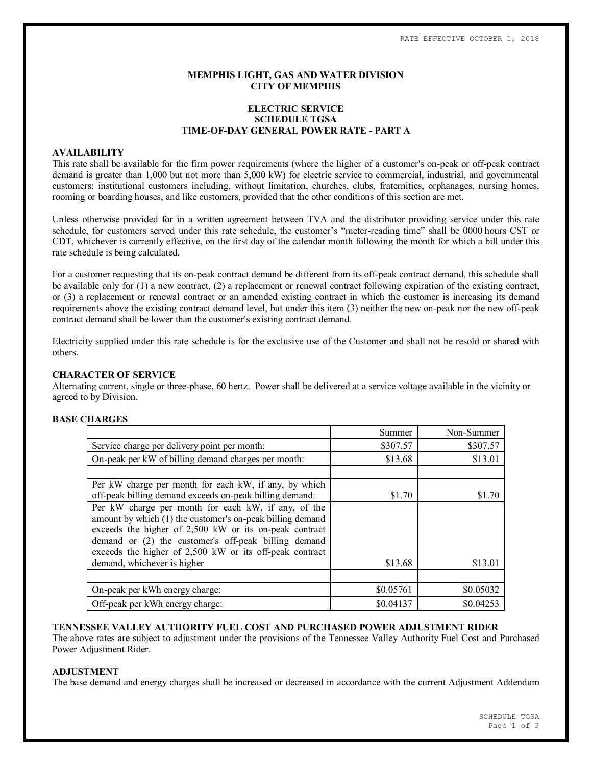### **MEMPHIS LIGHT, GAS AND WATER DIVISION CITY OF MEMPHIS**

# **ELECTRIC SERVICE SCHEDULE TGSA TIME-OF-DAY GENERAL POWER RATE - PART A**

#### **AVAILABILITY**

This rate shall be available for the firm power requirements (where the higher of a customer's on-peak or off-peak contract demand is greater than 1,000 but not more than 5,000 kW) for electric service to commercial, industrial, and governmental customers; institutional customers including, without limitation, churches, clubs, fraternities, orphanages, nursing homes, rooming or boarding houses, and like customers, provided that the other conditions of this section are met.

Unless otherwise provided for in a written agreement between TVA and the distributor providing service under this rate schedule, for customers served under this rate schedule, the customer's "meter-reading time" shall be 0000 hours CST or CDT, whichever is currently effective, on the first day of the calendar month following the month for which a bill under this rate schedule is being calculated.

For a customer requesting that its on-peak contract demand be different from its off-peak contract demand, this schedule shall be available only for (1) a new contract, (2) a replacement or renewal contract following expiration of the existing contract, or (3) a replacement or renewal contract or an amended existing contract in which the customer is increasing its demand requirements above the existing contract demand level, but under this item (3) neither the new on-peak nor the new off-peak contract demand shall be lower than the customer's existing contract demand.

Electricity supplied under this rate schedule is for the exclusive use of the Customer and shall not be resold or shared with others.

#### **CHARACTER OF SERVICE**

Alternating current, single or three-phase, 60 hertz. Power shall be delivered at a service voltage available in the vicinity or agreed to by Division.

# **BASE CHARGES**

|                                                                                                                                                                                                                                                                                               | Summer    | Non-Summer |
|-----------------------------------------------------------------------------------------------------------------------------------------------------------------------------------------------------------------------------------------------------------------------------------------------|-----------|------------|
| Service charge per delivery point per month:                                                                                                                                                                                                                                                  | \$307.57  | \$307.57   |
| On-peak per kW of billing demand charges per month:                                                                                                                                                                                                                                           | \$13.68   | \$13.01    |
|                                                                                                                                                                                                                                                                                               |           |            |
| Per kW charge per month for each kW, if any, by which<br>off-peak billing demand exceeds on-peak billing demand:                                                                                                                                                                              | \$1.70    | \$1.70     |
| Per kW charge per month for each kW, if any, of the<br>amount by which (1) the customer's on-peak billing demand<br>exceeds the higher of 2,500 kW or its on-peak contract<br>demand or (2) the customer's off-peak billing demand<br>exceeds the higher of 2,500 kW or its off-peak contract |           |            |
| demand, whichever is higher                                                                                                                                                                                                                                                                   | \$13.68   | \$13.01    |
|                                                                                                                                                                                                                                                                                               |           |            |
| On-peak per kWh energy charge:                                                                                                                                                                                                                                                                | \$0.05761 | \$0.05032  |
| Off-peak per kWh energy charge:                                                                                                                                                                                                                                                               | \$0.04137 | \$0.04253  |

**TENNESSEE VALLEY AUTHORITY FUEL COST AND PURCHASED POWER ADJUSTMENT RIDER**

The above rates are subject to adjustment under the provisions of the Tennessee Valley Authority Fuel Cost and Purchased Power Adjustment Rider.

### **ADJUSTMENT**

The base demand and energy charges shall be increased or decreased in accordance with the current Adjustment Addendum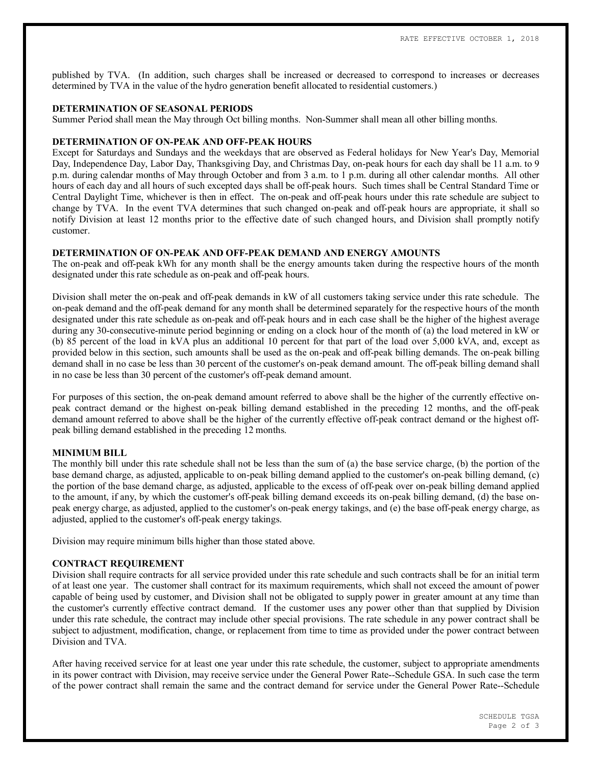published by TVA. (In addition, such charges shall be increased or decreased to correspond to increases or decreases determined by TVA in the value of the hydro generation benefit allocated to residential customers.)

#### **DETERMINATION OF SEASONAL PERIODS**

Summer Period shall mean the May through Oct billing months. Non-Summer shall mean all other billing months.

### **DETERMINATION OF ON-PEAK AND OFF-PEAK HOURS**

Except for Saturdays and Sundays and the weekdays that are observed as Federal holidays for New Year's Day, Memorial Day, Independence Day, Labor Day, Thanksgiving Day, and Christmas Day, on-peak hours for each day shall be 11 a.m. to 9 p.m. during calendar months of May through October and from 3 a.m. to 1 p.m. during all other calendar months. All other hours of each day and all hours of such excepted days shall be off-peak hours. Such times shall be Central Standard Time or Central Daylight Time, whichever is then in effect. The on-peak and off-peak hours under this rate schedule are subject to change by TVA. In the event TVA determines that such changed on-peak and off-peak hours are appropriate, it shall so notify Division at least 12 months prior to the effective date of such changed hours, and Division shall promptly notify customer.

### **DETERMINATION OF ON-PEAK AND OFF-PEAK DEMAND AND ENERGY AMOUNTS**

The on-peak and off-peak kWh for any month shall be the energy amounts taken during the respective hours of the month designated under this rate schedule as on-peak and off-peak hours.

Division shall meter the on-peak and off-peak demands in kW of all customers taking service under this rate schedule. The on-peak demand and the off-peak demand for any month shall be determined separately for the respective hours of the month designated under this rate schedule as on-peak and off-peak hours and in each case shall be the higher of the highest average during any 30-consecutive-minute period beginning or ending on a clock hour of the month of (a) the load metered in kW or (b) 85 percent of the load in kVA plus an additional 10 percent for that part of the load over 5,000 kVA, and, except as provided below in this section, such amounts shall be used as the on-peak and off-peak billing demands. The on-peak billing demand shall in no case be less than 30 percent of the customer's on-peak demand amount. The off-peak billing demand shall in no case be less than 30 percent of the customer's off-peak demand amount.

For purposes of this section, the on-peak demand amount referred to above shall be the higher of the currently effective onpeak contract demand or the highest on-peak billing demand established in the preceding 12 months, and the off-peak demand amount referred to above shall be the higher of the currently effective off-peak contract demand or the highest offpeak billing demand established in the preceding 12 months.

### **MINIMUM BILL**

The monthly bill under this rate schedule shall not be less than the sum of (a) the base service charge, (b) the portion of the base demand charge, as adjusted, applicable to on-peak billing demand applied to the customer's on-peak billing demand, (c) the portion of the base demand charge, as adjusted, applicable to the excess of off-peak over on-peak billing demand applied to the amount, if any, by which the customer's off-peak billing demand exceeds its on-peak billing demand, (d) the base onpeak energy charge, as adjusted, applied to the customer's on-peak energy takings, and (e) the base off-peak energy charge, as adjusted, applied to the customer's off-peak energy takings.

Division may require minimum bills higher than those stated above.

#### **CONTRACT REQUIREMENT**

Division shall require contracts for all service provided under this rate schedule and such contracts shall be for an initial term of at least one year. The customer shall contract for its maximum requirements, which shall not exceed the amount of power capable of being used by customer, and Division shall not be obligated to supply power in greater amount at any time than the customer's currently effective contract demand. If the customer uses any power other than that supplied by Division under this rate schedule, the contract may include other special provisions. The rate schedule in any power contract shall be subject to adjustment, modification, change, or replacement from time to time as provided under the power contract between Division and TVA.

After having received service for at least one year under this rate schedule, the customer, subject to appropriate amendments in its power contract with Division, may receive service under the General Power Rate--Schedule GSA. In such case the term of the power contract shall remain the same and the contract demand for service under the General Power Rate--Schedule